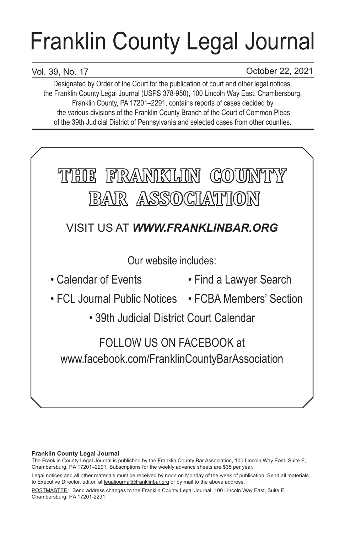# Franklin County Legal Journal

# Vol. 39, No. 17

October 22, 2021

Designated by Order of the Court for the publication of court and other legal notices, the Franklin County Legal Journal (USPS 378-950), 100 Lincoln Way East, Chambersburg, Franklin County, PA 17201–2291, contains reports of cases decided by the various divisions of the Franklin County Branch of the Court of Common Pleas of the 39th Judicial District of Pennsylvania and selected cases from other counties.



## **Franklin County Legal Journal**

The Franklin County Legal Journal is published by the Franklin County Bar Association, 100 Lincoln Way East, Suite E, Chambersburg, PA 17201–2291. Subscriptions for the weekly advance sheets are \$35 per year.

POSTMASTER: Send address changes to the Franklin County Legal Journal, 100 Lincoln Way East, Suite E, Chambersburg, PA 17201-2291.

Legal notices and all other materials must be received by noon on Monday of the week of publication. Send all materials to Executive Director, editor, at legaljournal@franklinbar.org or by mail to the above address.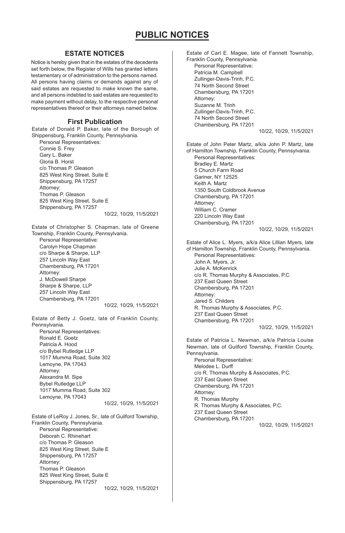## **ESTATE NOTICES**

Notice is hereby given that in the estates of the decedents set forth below, the Register of Wills has granted letters testamentary or of administration to the persons named. All persons having claims or demands against any of said estates are requested to make known the same, and all persons indebted to said estates are requested to make payment without delay, to the respective personal representatives thereof or their attorneys named below.

#### **First Publication**

Estate of Donald P. Baker, late of the Borough of Shippensburg, Franklin County, Pennsylvania.

Personal Representatives: Connie S. Frey Gary L. Baker Gloria B. Horst c/o Thomas P. Gleason 825 West King Street, Suite E Shippensburg, PA 17257 Attorney: Thomas P. Gleason 825 West King Street, Suite E Shippensburg, PA 17257

10/22, 10/29, 11/5/2021

Estate of Christopher S. Chapman, late of Greene Township, Franklin County, Pennsylvania. Personal Representative: Carolyn Hope Chapman c/o Sharpe & Sharpe, LLP 257 Lincoln Way East Chambersburg, PA 17201 Attorney: J. McDowell Sharpe Sharpe & Sharpe, LLP 257 Lincoln Way East Chambersburg, PA 17201

10/22, 10/29, 11/5/2021

Estate of Betty J. Goetz, late of Franklin County, Pennsylvania. Personal Representatives: Ronald E. Goetz Patricia A. Hood c/o Bybel Rutledge LLP 1017 Mumma Road, Suite 302 Lemoyne, PA 17043 Attorney: Alexandra M. Sipe Bybel Rutledge LLP 1017 Mumma Road, Suite 302 Lemoyne, PA 17043

10/22, 10/29, 11/5/2021

Estate of LeRoy J. Jones, Sr., late of Guilford Township, Franklin County, Pennsylvania. Personal Representative: Deborah C. Rhinehart c/o Thomas P. Gleason 825 West King Street, Suite E Shippensburg, PA 17257 Attorney: Thomas P. Gleason 825 West King Street, Suite E Shippensburg, PA 17257 10/22, 10/29, 11/5/2021 Estate of Carl E. Magee, late of Fannett Township, Franklin County, Pennsylvania. Personal Representative: Patricia M. Campbell Zullinger-Davis-Trinh, P.C. 74 North Second Street Chambersburg, PA 17201 Attorney: Suzanne M. Trinh Zullinger-Davis-Trinh, P.C. 74 North Second Street Chambersburg, PA 17201 10/22, 10/29, 11/5/2021 Estate of John Peter Martz, a/k/a John P. Martz, late of Hamilton Township, Franklin County, Pennsylvania. Personal Representatives: Bradley E. Martz 5 Church Farm Road Gariner, NY 12525 Keith A. Martz 1350 South Coldbrook Avenue Chambersburg, PA 17201 Attorney: William C. Cramer 220 Lincoln Way East Chambersburg, PA 17201 10/22, 10/29, 11/5/2021 Estate of Alice L. Myers, a/k/a Alice Lillian Myers, late of Hamilton Township, Franklin County, Pennsylvania. Personal Representatives: John A. Myers, Jr. Julie A. McKenrick c/o R. Thomas Murphy & Associates, P.C. 237 East Queen Street Chambersburg, PA 17201 Attorney: Jared S. Childers R. Thomas Murphy & Associates, P.C. 237 East Queen Street Chambersburg, PA 17201 10/22, 10/29, 11/5/2021 Estate of Patricia L. Newman, a/k/a Patricia Louise Newman, late of Guilford Township, Franklin County, Pennsylvania. Personal Representative: Melodee L. Durff c/o R. Thomas Murphy & Associates, P.C. 237 East Queen Street Chambersburg, PA 17201 Attorney: R. Thomas Murphy R. Thomas Murphy & Associates, P.C. 237 East Queen Street Chambersburg, PA 17201 10/22, 10/29, 11/5/2021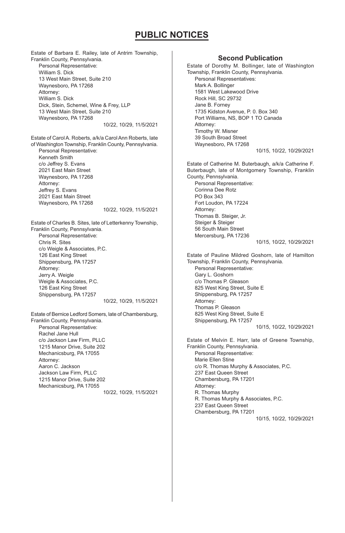Estate of Barbara E. Railey, late of Antrim Township, Franklin County, Pennsylvania. Personal Representative: William S. Dick 13 West Main Street, Suite 210 Waynesboro, PA 17268 Attorney: William S. Dick Dick, Stein, Schemel, Wine & Frey, LLP 13 West Main Street, Suite 210 Waynesboro, PA 17268 10/22, 10/29, 11/5/2021 Estate of Carol A. Roberts, a/k/a Carol Ann Roberts, late of Washington Township, Franklin County, Pennsylvania. Personal Representative: Kenneth Smith c/o Jeffrey S. Evans 2021 East Main Street Waynesboro, PA 17268 Attorney: Jeffrey S. Evans 2021 East Main Street Waynesboro, PA 17268 10/22, 10/29, 11/5/2021 Estate of Charles B. Sites, late of Letterkenny Township, Franklin County, Pennsylvania. Personal Representative: Chris R. Sites c/o Weigle & Associates, P.C. 126 East King Street Shippensburg, PA 17257 Attorney: Jerry A. Weigle Weigle & Associates, P.C. 126 East King Street Shippensburg, PA 17257 10/22, 10/29, 11/5/2021 Estate of Bernice Ledford Somers, late of Chambersburg, Franklin County, Pennsylvania. Personal Representative: Rachel Jane Hull c/o Jackson Law Firm, PLLC 1215 Manor Drive, Suite 202 Mechanicsburg, PA 17055 Attorney: Aaron C. Jackson Jackson Law Firm, PLLC 1215 Manor Drive, Suite 202 Mechanicsburg, PA 17055 10/22, 10/29, 11/5/2021

#### Township, Franklin County, Pennsylvania. Personal Representatives: Mark A. Bollinger 1581 West Lakewood Drive Rock Hill, SC 29732 Jane B. Forney 1735 Kidston Avenue, P. 0. Box 340 Port Williams, NS, BOP 1 TO Canada Attorney: Timothy W. Misner 39 South Broad Street Waynesboro, PA 17268 10/15, 10/22, 10/29/2021 Estate of Catherine M. Buterbaugh, a/k/a Catherine F. Buterbaugh, late of Montgomery Township, Franklin County, Pennsylvania. Personal Representative: Corinna Dee Rotz PO Box 343 Fort Loudon, PA 17224 Attorney: Thomas B. Steiger, Jr. Steiger & Steiger 56 South Main Street Mercersburg, PA 17236 10/15, 10/22, 10/29/2021 Estate of Pauline Mildred Goshorn, late of Hamilton Township, Franklin County, Pennsylvania. Personal Representative: Gary L. Goshorn c/o Thomas P. Gleason 825 West King Street, Suite E Shippensburg, PA 17257 Attorney: Thomas P. Gleason 825 West King Street, Suite E Shippensburg, PA 17257 10/15, 10/22, 10/29/2021 Estate of Melvin E. Harr, late of Greene Township, Franklin County, Pennsylvania. Personal Representative: Marie Ellen Stine c/o R. Thomas Murphy & Associates, P.C. 237 East Queen Street Chambersburg, PA 17201 Attorney: R. Thomas Murphy R. Thomas Murphy & Associates, P.C. 237 East Queen Street Chambersburg, PA 17201 10/15, 10/22, 10/29/2021

Estate of Dorothy M. Bollinger, late of Washington

**Second Publication**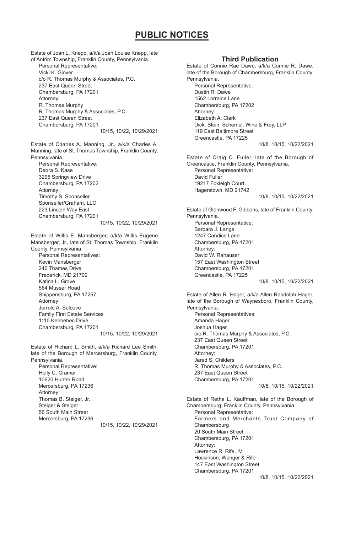Estate of Joan L. Knepp, a/k/a Joan Louise Knepp, late of Antrim Township, Franklin County, Pennsylvania. Personal Representative: Vicki K. Glover c/o R. Thomas Murphy & Associates, P.C. 237 East Queen Street Chambersburg, PA 17201 Attorney: R. Thomas Murphy R. Thomas Murphy & Associates, P.C. 237 East Queen Street Chambersburg, PA 17201 10/15, 10/22, 10/29/2021 Estate of Charles A. Manning, Jr., a/k/a Charles A. Manning, late of St. Thomas Township, Franklin County, Pennsylvania. Personal Representative: Debra S. Kase 3295 Springview Drive Chambersburg, PA 17202 Attorney: Timothy S. Sponseller Sponseller/Graham, LLC 223 Lincoln Way East Chambersburg, PA 17201 10/15, 10/22, 10/29/2021 Estate of Willis E. Mansberger, a/k/a Willis Eugene Mansberger, Jr., late of St. Thomas Township, Franklin County, Pennsylvania. Personal Representatives: Kevin Mansberger 240 Thames Drive Frederick, MD 21702 Katina L. Grove 564 Musser Road Shippensburg, PA 17257 Attorney: Jerrold A. Sulcove Family First Estate Services 1110 Kennebec Drive Chambersburg, PA 17201 10/15, 10/22, 10/29/2021 Estate of Richard L. Smith, a/k/a Richard Lee Smith, late of the Borough of Mercersburg, Franklin County, Pennsylvania. Personal Representative: Holly C. Cramer 10620 Hunter Road Mercersburg, PA 17236 Attorney: Thomas B. Steiger, Jr.

Steiger & Steiger 56 South Main Street Mercersburg, PA 17236

10/15, 10/22, 10/29/2021

#### Estate of Connie Rae Dawe, a/k/a Connie R. Dawe, late of the Borough of Chambersburg, Franklin County, Pennsylvania. Personal Representative: Dustin R. Dawe 1562 Lorraine Lane Chambersburg, PA 17202 Attorney: Elizabeth A. Clark Dick, Stein, Schemel, Wine & Frey, LLP 119 East Baltimore Street Greencastle, PA 17225 10/8, 10/15, 10/22/2021 Estate of Craig C. Fuller, late of the Borough of Greencastle, Franklin County, Pennsylvania. Personal Representative: David Fuller 19217 Foxleigh Court Hagerstown, MD 21742 10/8, 10/15, 10/22/2021 Estate of Glenwood F. Gibbons, late of Franklin County, Pennsylvania. Personal Representative: Barbara J. Lange 1247 Candice Lane Chambersburg, PA 17201 Attorney: David W. Rahauser 157 East Washington Street Chambersburg, PA 17201 Greencastle, PA 17225 10/8, 10/15, 10/22/2021 Estate of Allen R. Hager, a/k/a Allen Randolph Hager, late of the Borough of Waynesboro, Franklin County, Pennsylvania. Personal Representatives: Amanda Hager Joshua Hager c/o R. Thomas Murphy & Associates, P.C. 237 East Queen Street Chambersburg, PA 17201 Attorney: Jared S. Childers R. Thomas Murphy & Associates, P.C. 237 East Queen Street Chambersburg, PA 17201 10/8, 10/15, 10/22/2021 Estate of Retha L. Kauffman, late of the Borough of Chambersburg, Franklin County, Pennsylvania. Personal Representative: Farmers and Merchants Trust Company of Chambersburg 20 South Main Street Chambersburg, PA 17201 Attorney: Lawrence R. Rife, IV Hoskinson, Wenger & Rife 147 East Washington Street **Third Publication**

Chambersburg, PA 17201

10/8, 10/15, 10/22/2021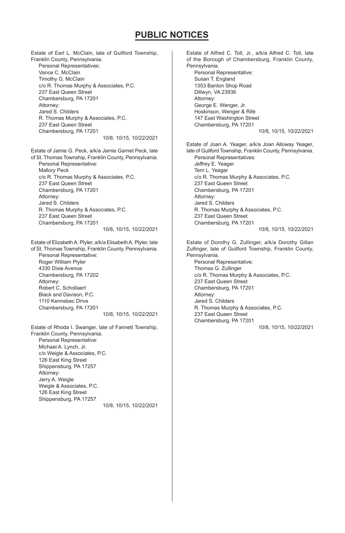Estate of Earl L. McClain, late of Guilford Township, Franklin County, Pennsylvania. Personal Representatives: Vance C. McClain Timothy G. McClain c/o R. Thomas Murphy & Associates, P.C. 237 East Queen Street Chambersburg, PA 17201 Attorney: Jared S. Childers R. Thomas Murphy & Associates, P.C. 237 East Queen Street Chambersburg, PA 17201 10/8, 10/15, 10/22/2021 Estate of Jamie G. Peck, a/k/a Jamie Garnet Peck, late of St. Thomas Township, Franklin County, Pennsylvania. Personal Representative: Mallory Peck c/o R. Thomas Murphy & Associates, P.C. 237 East Queen Street Chambersburg, PA 17201 Attorney: Jared S. Childers R. Thomas Murphy & Associates, P.C. 237 East Queen Street Chambersburg, PA 17201 10/8, 10/15, 10/22/2021 Estate of Elizabeth A. Plyler, a/k/a Elisabeth A. Plyler, late of St. Thomas Township, Franklin County, Pennsylvania. Personal Representative: Roger William Plyler 4330 Dixie Avenue Chambersburg, PA 17202 Attorney: Robert C. Schollaert Black and Davison, P.C. 1110 Kennebec Drive Chambersburg, PA 17201 10/8, 10/15, 10/22/2021 Estate of Rhoda I. Swanger, late of Fannett Township, Franklin County, Pennsylvania. Personal Representative: Michael A. Lynch, Jr. c/o Weigle & Associates, P.C. 126 East King Street Shippensburg, PA 17257 Attorney: Jerry A. Weigle Weigle & Associates, P.C. 126 East King Street Shippensburg, PA 17257 10/8, 10/15, 10/22/2021

Estate of Alfred C. Toll, Jr., a/k/a Alfred C. Toll, late of the Borough of Chambersburg, Franklin County, Pennsylvania. Personal Representative: Susan T. England 1353 Banton Shop Road Dillwyn, VA 23936 Attorney: George E. Wenger, Jr. Hoskinson, Wenger & Rife 147 East Washington Street Chambersburg, PA 17201 10/8, 10/15, 10/22/2021 Estate of Joan A. Yeager, a/k/a Joan Alloway Yeager, late of Guilford Township, Franklin County, Pennsylvania. Personal Representatives: Jeffrey E. Yeager Terri L. Yeager c/o R. Thomas Murphy & Associates, P.C. 237 East Queen Street Chambersburg, PA 17201 Attorney: Jared S. Childers R. Thomas Murphy & Associates, P.C. 237 East Queen Street Chambersburg, PA 17201 10/8, 10/15, 10/22/2021 Estate of Dorothy G. Zullinger, a/k/a Dorothy Gillan Zullinger, late of Guilford Township, Franklin County, Pennsylvania. Personal Representative: Thomas G. Zullinger c/o R. Thomas Murphy & Associates, P.C. 237 East Queen Street Chambersburg, PA 17201 Attorney: Jared S. Childers R. Thomas Murphy & Associates, P.C. 237 East Queen Street Chambersburg, PA 17201

10/8, 10/15, 10/22/2021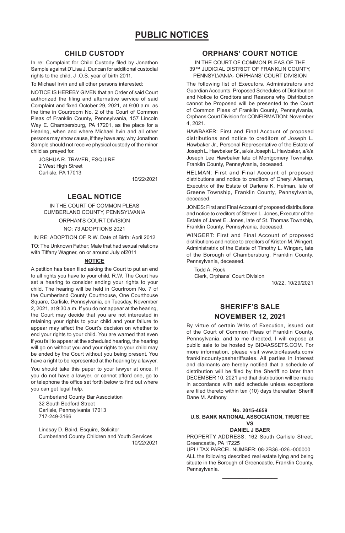## **CHILD CUSTODY**

In re: Complaint for Child Custody filed by Jonathon Sample against D'Lisa J. Duncan for additional custodial rights to the child, J .O.S. year of birth 2011.

To Michael Irvin and all other persons interested:

NOTICE IS HEREBY GIVEN that an Order of said Court authorized the filing and alternative service of said Complaint and fixed October 29, 2021, at 9:00 a.m. as the time in Courtroom No. 2 of the Court of Common Pleas of Franklin County, Pennsylvania, 157 Lincoln Way E. Chambersburg, PA 17201, as the place for a Hearing, when and where Michael hvin and all other persons may show cause, if they have any, why Jonathon Sample should not receive physical custody of the minor child as prayed for.

JOSHUA R. TRAVER, ESQUIRE 2 West High Street Carlisle, PA 17013

10/22/2021

## **LEGAL NOTICE**

IN THE COURT OF COMMON PLEAS CUMBERLAND COUNTY, PENNSYLVANIA

ORPHAN'S COURT DIVISION NO: 73 ADOPTIONS 2021

IN RE: ADOPTION OF R.W. Date of Birth: April 2012

TO: The Unknown Father; Male that had sexual relations with Tiffany Wagner, on or around July of2011

#### **NOTICE**

A petition has been filed asking the Court to put an end to all rights you have to your child, R.W. The Court has set a hearing to consider ending your rights to your child. The hearing will be held in Courtroom No. 7 of the Cumberland County Courthouse, One Courthouse Square, Carlisle, Pennsylvania, on Tuesday, November 2, 2021, at 9:30 a.m. If you do not appear at the hearing, the Court may decide that you are not interested in retaining your rights to your child and your failure to appear may affect the Court's decision on whether to end your rights to your child. You are warned that even if you fail to appear at the scheduled hearing, the hearing will go on without you and your rights to your child may be ended by the Court without you being present. You have a right to be represented at the hearing by a lawyer.

You should take this paper to your lawyer at once. If you do not have a lawyer, or cannot afford one, go to or telephone the office set forth below to find out where you can get legal help.

Cumberland County Bar Association 32 South Bedford Street Carlisle, Pennsylvania 17013 717-249-3166

Lindsay D. Baird, Esquire, Solicitor Cumberland County Children and Youth Services 10/22/2021

## **ORPHANS' COURT NOTICE**

IN THE COURT OF COMMON PLEAS OF THE 39™ JUDICIAL DISTRICT OF FRANKLIN COUNTY, PENNSYLVANIA- ORPHANS' COURT DIVISION

The following list of Executors, Administrators and Guardian Accounts, Proposed Schedules of Distribution and Notice to Creditors and Reasons why Distribution cannot be Proposed will be presented to the Court of Common Pleas of Franklin County, Pennsylvania, Orphans Court Division for CONFIRMATION: November 4, 2021.

HAWBAKER: First and Final Account of proposed distributions and notice to creditors of Joseph L. Hawbaker Jr., Personal Representative of the Estate of Joseph L. Hawbaker Sr., a/k/a Joseph L. Hawbaker, a/k/a Joseph Lee Hawbaker late of Montgomery Township, Franklin County, Pennsylvania, deceased.

HELMAN: First and Final Account of proposed distributions and notice to creditors of Cheryl Alleman, Executrix of the Estate of Darlene K. Helman, late of Greene Township, Franklin County, Pennsylvania, deceased.

JONES: First and Final Account of proposed distributions and notice to creditors of Steven L. Jones, Executor of the Estate of Janet E. Jones, late of St. Thomas Township, Franklin County, Pennsylvania, deceased.

WINGERT: First and Final Account of proposed distributions and notice to creditors of Kristen M. Wingert, Administratrix of the Estate of Timothy L. Wingert, late of the Borough of Chambersburg, Franklin County, Pennsylvania, deceased.

Todd A. Rock Clerk, Orphans' Court Division

10/22, 10/29/2021

## **SHERIFF'S SALE NOVEMBER 12, 2021**

By virtue of certain Writs of Execution, issued out of the Court of Common Pleas of Franklin County, Pennsylvania, and to me directed, I will expose at public sale to be hosted by BID4ASSETS.COM. For more information, please visit www.bid4assets.com/ franklincountypasheriffsales. All parties in interest and claimants are hereby notified that a schedule of distribution will be filed by the Sheriff no later than DECEMBER 10, 2021 and that distribution will be made in accordance with said schedule unless exceptions are filed thereto within ten (10) days thereafter. Sheriff Dane M. Anthony

#### **No. 2015-4659 U.S. BANK NATIONAL ASSOCIATION, TRUSTEE VS**

#### **DANIEL J BAER**

PROPERTY ADDRESS: 162 South Carlisle Street, Greencastle, PA 17225

UPI / TAX PARCEL NUMBER: 08-2B36.-026.-000000 ALL the following described real estate lying and being situate in the Borough of Greencastle, Franklin County, Pennsylvania.  $\mathcal{L}_\text{max}$  and  $\mathcal{L}_\text{max}$  and  $\mathcal{L}_\text{max}$